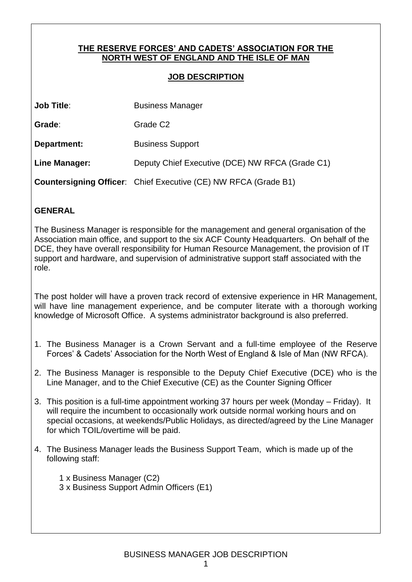### **THE RESERVE FORCES' AND CADETS' ASSOCIATION FOR THE NORTH WEST OF ENGLAND AND THE ISLE OF MAN**

### **JOB DESCRIPTION**

| <b>Job Title:</b> | <b>Business Manager</b>                                                |
|-------------------|------------------------------------------------------------------------|
| Grade:            | Grade C <sub>2</sub>                                                   |
| Department:       | <b>Business Support</b>                                                |
| Line Manager:     | Deputy Chief Executive (DCE) NW RFCA (Grade C1)                        |
|                   | <b>Countersigning Officer:</b> Chief Executive (CE) NW RFCA (Grade B1) |

### **GENERAL**

The Business Manager is responsible for the management and general organisation of the Association main office, and support to the six ACF County Headquarters. On behalf of the DCE, they have overall responsibility for Human Resource Management, the provision of IT support and hardware, and supervision of administrative support staff associated with the role.

The post holder will have a proven track record of extensive experience in HR Management, will have line management experience, and be computer literate with a thorough working knowledge of Microsoft Office. A systems administrator background is also preferred.

- 1. The Business Manager is a Crown Servant and a full-time employee of the Reserve Forces' & Cadets' Association for the North West of England & Isle of Man (NW RFCA).
- 2. The Business Manager is responsible to the Deputy Chief Executive (DCE) who is the Line Manager, and to the Chief Executive (CE) as the Counter Signing Officer
- 3. This position is a full-time appointment working 37 hours per week (Monday Friday). It will require the incumbent to occasionally work outside normal working hours and on special occasions, at weekends/Public Holidays, as directed/agreed by the Line Manager for which TOIL/overtime will be paid.
- 4. The Business Manager leads the Business Support Team, which is made up of the following staff:
	- 1 x Business Manager (C2)
	- 3 x Business Support Admin Officers (E1)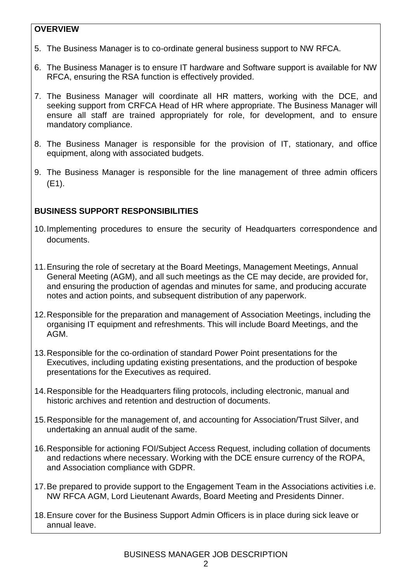## **OVERVIEW**

- 5. The Business Manager is to co-ordinate general business support to NW RFCA.
- 6. The Business Manager is to ensure IT hardware and Software support is available for NW RFCA, ensuring the RSA function is effectively provided.
- 7. The Business Manager will coordinate all HR matters, working with the DCE, and seeking support from CRFCA Head of HR where appropriate. The Business Manager will ensure all staff are trained appropriately for role, for development, and to ensure mandatory compliance.
- 8. The Business Manager is responsible for the provision of IT, stationary, and office equipment, along with associated budgets.
- 9. The Business Manager is responsible for the line management of three admin officers (E1).

## **BUSINESS SUPPORT RESPONSIBILITIES**

- 10.Implementing procedures to ensure the security of Headquarters correspondence and documents.
- 11.Ensuring the role of secretary at the Board Meetings, Management Meetings, Annual General Meeting (AGM), and all such meetings as the CE may decide, are provided for, and ensuring the production of agendas and minutes for same, and producing accurate notes and action points, and subsequent distribution of any paperwork.
- 12.Responsible for the preparation and management of Association Meetings, including the organising IT equipment and refreshments. This will include Board Meetings, and the AGM.
- 13.Responsible for the co-ordination of standard Power Point presentations for the Executives, including updating existing presentations, and the production of bespoke presentations for the Executives as required.
- 14.Responsible for the Headquarters filing protocols, including electronic, manual and historic archives and retention and destruction of documents.
- 15.Responsible for the management of, and accounting for Association/Trust Silver, and undertaking an annual audit of the same.
- 16.Responsible for actioning FOI/Subject Access Request, including collation of documents and redactions where necessary. Working with the DCE ensure currency of the ROPA, and Association compliance with GDPR.
- 17.Be prepared to provide support to the Engagement Team in the Associations activities i.e. NW RFCA AGM, Lord Lieutenant Awards, Board Meeting and Presidents Dinner.
- 18.Ensure cover for the Business Support Admin Officers is in place during sick leave or annual leave.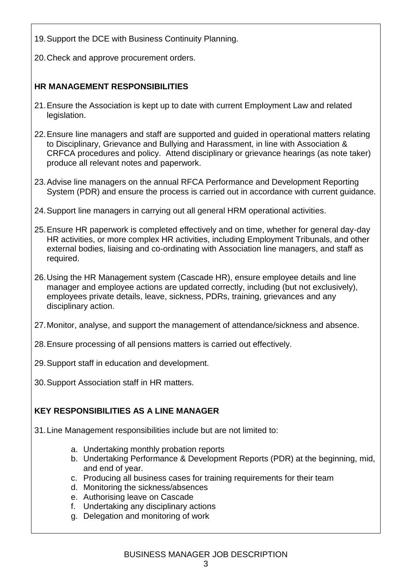- 19.Support the DCE with Business Continuity Planning.
- 20.Check and approve procurement orders.

# **HR MANAGEMENT RESPONSIBILITIES**

- 21.Ensure the Association is kept up to date with current Employment Law and related legislation.
- 22.Ensure line managers and staff are supported and guided in operational matters relating to Disciplinary, Grievance and Bullying and Harassment, in line with Association & CRFCA procedures and policy. Attend disciplinary or grievance hearings (as note taker) produce all relevant notes and paperwork.
- 23.Advise line managers on the annual RFCA Performance and Development Reporting System (PDR) and ensure the process is carried out in accordance with current guidance.
- 24.Support line managers in carrying out all general HRM operational activities.
- 25.Ensure HR paperwork is completed effectively and on time, whether for general day-day HR activities, or more complex HR activities, including Employment Tribunals, and other external bodies, liaising and co-ordinating with Association line managers, and staff as required.
- 26.Using the HR Management system (Cascade HR), ensure employee details and line manager and employee actions are updated correctly, including (but not exclusively), employees private details, leave, sickness, PDRs, training, grievances and any disciplinary action.
- 27.Monitor, analyse, and support the management of attendance/sickness and absence.
- 28.Ensure processing of all pensions matters is carried out effectively.
- 29.Support staff in education and development.
- 30.Support Association staff in HR matters.

# **KEY RESPONSIBILITIES AS A LINE MANAGER**

- 31.Line Management responsibilities include but are not limited to:
	- a. Undertaking monthly probation reports
	- b. Undertaking Performance & Development Reports (PDR) at the beginning, mid, and end of year.
	- c. Producing all business cases for training requirements for their team
	- d. Monitoring the sickness/absences
	- e. Authorising leave on Cascade
	- f. Undertaking any disciplinary actions
	- g. Delegation and monitoring of work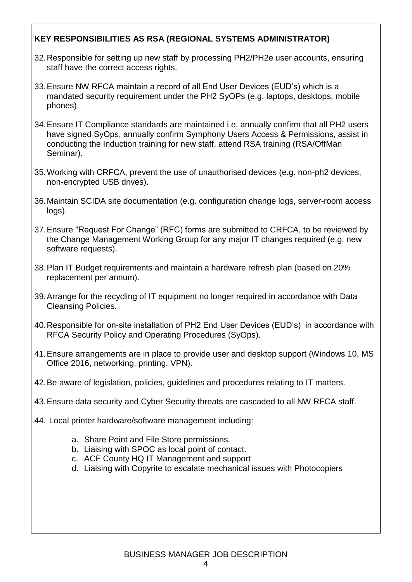# **KEY RESPONSIBILITIES AS RSA (REGIONAL SYSTEMS ADMINISTRATOR)**

- 32.Responsible for setting up new staff by processing PH2/PH2e user accounts, ensuring staff have the correct access rights.
- 33.Ensure NW RFCA maintain a record of all End User Devices (EUD's) which is a mandated security requirement under the PH2 SyOPs (e.g. laptops, desktops, mobile phones).
- 34.Ensure IT Compliance standards are maintained i.e. annually confirm that all PH2 users have signed SyOps, annually confirm Symphony Users Access & Permissions, assist in conducting the Induction training for new staff, attend RSA training (RSA/OffMan Seminar).
- 35.Working with CRFCA, prevent the use of unauthorised devices (e.g. non-ph2 devices, non-encrypted USB drives).
- 36.Maintain SCIDA site documentation (e.g. configuration change logs, server-room access logs).
- 37.Ensure "Request For Change" (RFC) forms are submitted to CRFCA, to be reviewed by the Change Management Working Group for any major IT changes required (e.g. new software requests).
- 38.Plan IT Budget requirements and maintain a hardware refresh plan (based on 20% replacement per annum).
- 39.Arrange for the recycling of IT equipment no longer required in accordance with Data Cleansing Policies.
- 40.Responsible for on-site installation of PH2 End User Devices (EUD's) in accordance with RFCA Security Policy and Operating Procedures (SyOps).
- 41.Ensure arrangements are in place to provide user and desktop support (Windows 10, MS Office 2016, networking, printing, VPN).
- 42.Be aware of legislation, policies, guidelines and procedures relating to IT matters.
- 43.Ensure data security and Cyber Security threats are cascaded to all NW RFCA staff.
- 44. Local printer hardware/software management including:
	- a. Share Point and File Store permissions.
	- b. Liaising with SPOC as local point of contact.
	- c. ACF County HQ IT Management and support
	- d. Liaising with Copyrite to escalate mechanical issues with Photocopiers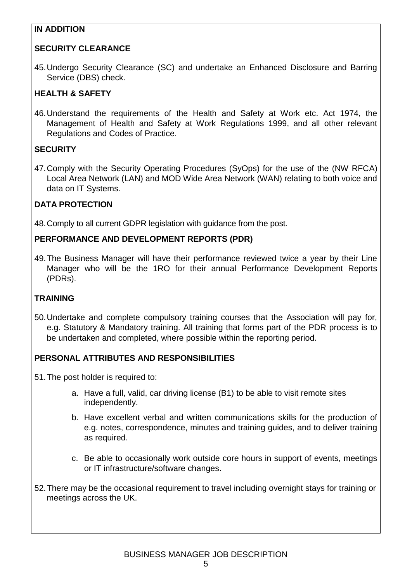## **IN ADDITION**

## **SECURITY CLEARANCE**

45.Undergo Security Clearance (SC) and undertake an Enhanced Disclosure and Barring Service (DBS) check.

# **HEALTH & SAFETY**

46.Understand the requirements of the Health and Safety at Work etc. Act 1974, the Management of Health and Safety at Work Regulations 1999, and all other relevant Regulations and Codes of Practice.

# **SECURITY**

47.Comply with the Security Operating Procedures (SyOps) for the use of the (NW RFCA) Local Area Network (LAN) and MOD Wide Area Network (WAN) relating to both voice and data on IT Systems.

# **DATA PROTECTION**

48.Comply to all current GDPR legislation with guidance from the post.

## **PERFORMANCE AND DEVELOPMENT REPORTS (PDR)**

49.The Business Manager will have their performance reviewed twice a year by their Line Manager who will be the 1RO for their annual Performance Development Reports (PDRs).

## **TRAINING**

50.Undertake and complete compulsory training courses that the Association will pay for, e.g. Statutory & Mandatory training. All training that forms part of the PDR process is to be undertaken and completed, where possible within the reporting period.

## **PERSONAL ATTRIBUTES AND RESPONSIBILITIES**

- 51.The post holder is required to:
	- a. Have a full, valid, car driving license (B1) to be able to visit remote sites independently.
	- b. Have excellent verbal and written communications skills for the production of e.g. notes, correspondence, minutes and training guides, and to deliver training as required.
	- c. Be able to occasionally work outside core hours in support of events, meetings or IT infrastructure/software changes.
- 52.There may be the occasional requirement to travel including overnight stays for training or meetings across the UK.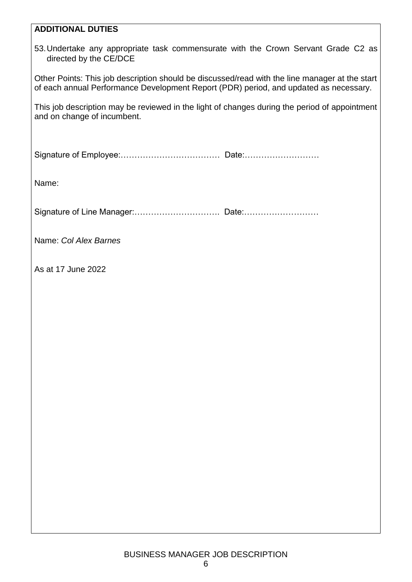### **ADDITIONAL DUTIES**

|                        |  | 53. Undertake any appropriate task commensurate with the Crown Servant Grade C2 as |  |  |  |  |
|------------------------|--|------------------------------------------------------------------------------------|--|--|--|--|
| directed by the CE/DCE |  |                                                                                    |  |  |  |  |

Other Points: This job description should be discussed/read with the line manager at the start of each annual Performance Development Report (PDR) period, and updated as necessary.

This job description may be reviewed in the light of changes during the period of appointment and on change of incumbent.

Name:

Signature of Line Manager:…………………………. Date:………………………

Name: *Col Alex Barnes*

As at 17 June 2022